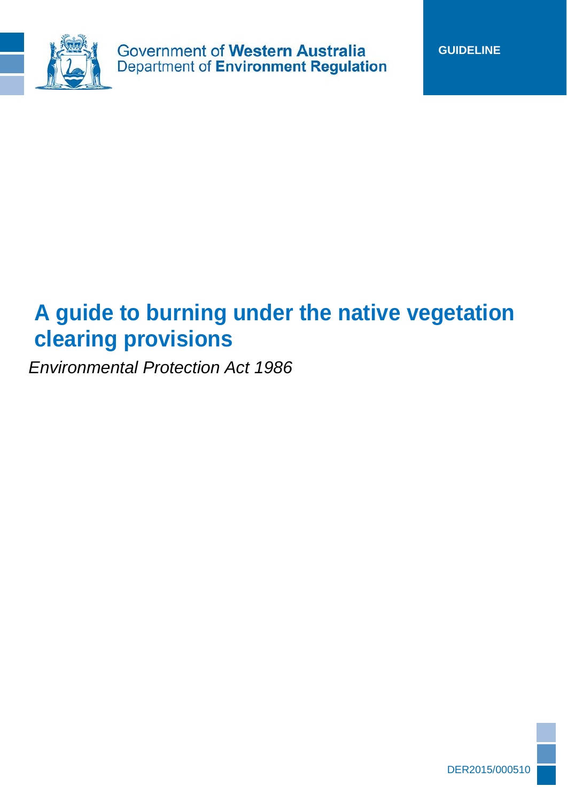

# **A guide to burning under the native vegetation clearing provisions**

*Environmental Protection Act 1986*

1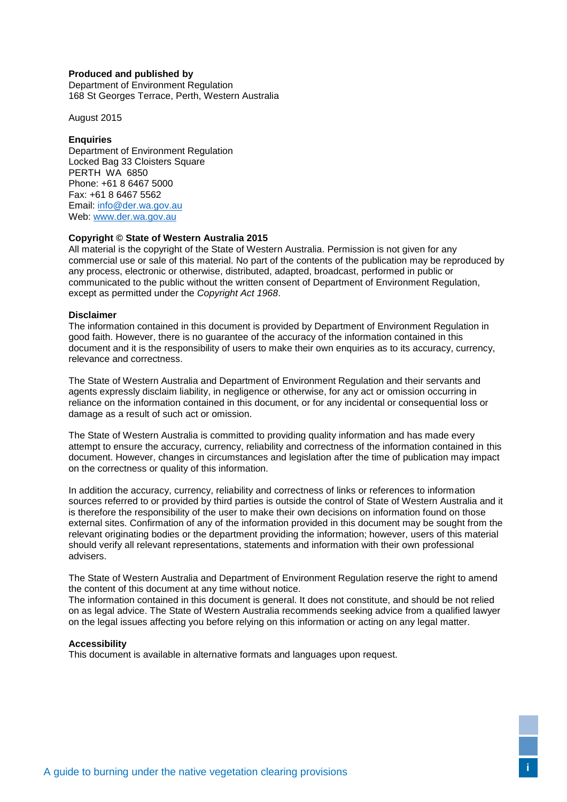#### **Produced and published by**

Department of Environment Regulation 168 St Georges Terrace, Perth, Western Australia

August 2015

#### **Enquiries**

Department of Environment Regulation Locked Bag 33 Cloisters Square PERTH WA 6850 Phone: +61 8 6467 5000 Fax: +61 8 6467 5562 Email: [info@der.wa.gov.au](mailto:info@der.wa.gov.au)  Web: [www.der.wa.gov.au](http://www.der.wa.gov.au/) 

#### **Copyright © State of Western Australia 2015**

All material is the copyright of the State of Western Australia. Permission is not given for any commercial use or sale of this material. No part of the contents of the publication may be reproduced by any process, electronic or otherwise, distributed, adapted, broadcast, performed in public or communicated to the public without the written consent of Department of Environment Regulation, except as permitted under the *Copyright Act 1968*.

#### **Disclaimer**

The information contained in this document is provided by Department of Environment Regulation in good faith. However, there is no guarantee of the accuracy of the information contained in this document and it is the responsibility of users to make their own enquiries as to its accuracy, currency, relevance and correctness.

The State of Western Australia and Department of Environment Regulation and their servants and agents expressly disclaim liability, in negligence or otherwise, for any act or omission occurring in reliance on the information contained in this document, or for any incidental or consequential loss or damage as a result of such act or omission.

The State of Western Australia is committed to providing quality information and has made every attempt to ensure the accuracy, currency, reliability and correctness of the information contained in this document. However, changes in circumstances and legislation after the time of publication may impact on the correctness or quality of this information.

In addition the accuracy, currency, reliability and correctness of links or references to information sources referred to or provided by third parties is outside the control of State of Western Australia and it is therefore the responsibility of the user to make their own decisions on information found on those external sites. Confirmation of any of the information provided in this document may be sought from the relevant originating bodies or the department providing the information; however, users of this material should verify all relevant representations, statements and information with their own professional advisers.

The State of Western Australia and Department of Environment Regulation reserve the right to amend the content of this document at any time without notice.

The information contained in this document is general. It does not constitute, and should be not relied on as legal advice. The State of Western Australia recommends seeking advice from a qualified lawyer on the legal issues affecting you before relying on this information or acting on any legal matter.

#### **Accessibility**

This document is available in alternative formats and languages upon request.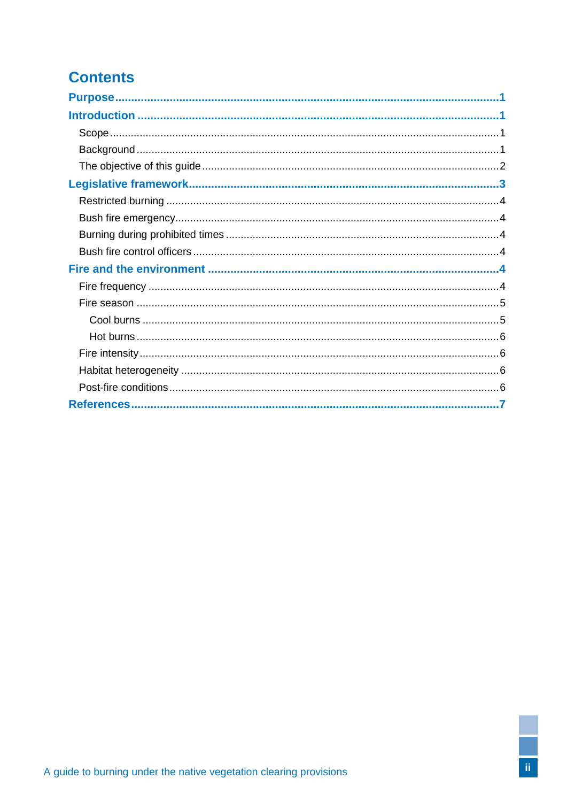# **Contents**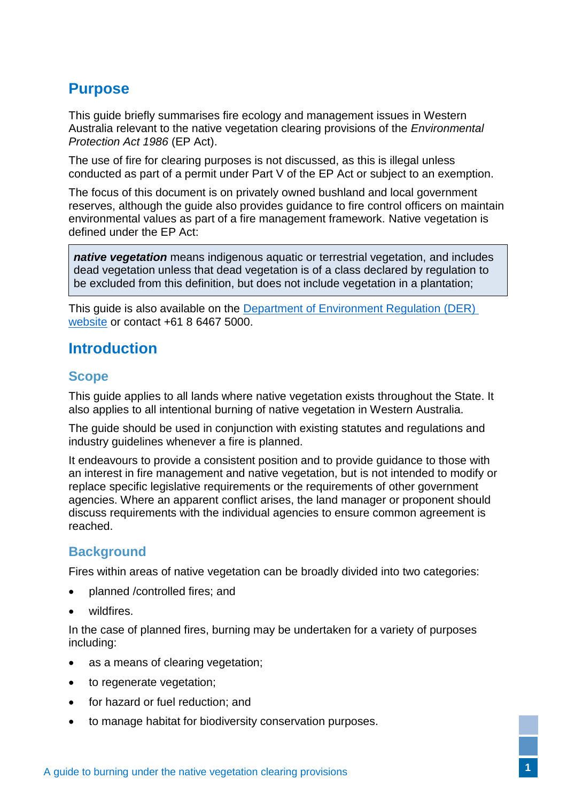# <span id="page-3-0"></span>**Purpose**

This guide briefly summarises fire ecology and management issues in Western Australia relevant to the native vegetation clearing provisions of the *Environmental Protection Act 1986* (EP Act).

The use of fire for clearing purposes is not discussed, as this is illegal unless conducted as part of a permit under Part V of the EP Act or subject to an exemption.

The focus of this document is on privately owned bushland and local government reserves, although the guide also provides guidance to fire control officers on maintain environmental values as part of a fire management framework. Native vegetation is defined under the EP Act:

*native vegetation* means indigenous aquatic or terrestrial vegetation, and includes dead vegetation unless that dead vegetation is of a class declared by regulation to be excluded from this definition, but does not include vegetation in a plantation;

This guide is also available on the [Department of Environment Regulation \(DER\)](http://www.der.wa.gov.au/your-environment/native-vegetation)  [website](http://www.der.wa.gov.au/your-environment/native-vegetation) or contact +61 8 6467 5000.

## <span id="page-3-1"></span>**Introduction**

## <span id="page-3-2"></span>**Scope**

This guide applies to all lands where native vegetation exists throughout the State. It also applies to all intentional burning of native vegetation in Western Australia.

The guide should be used in conjunction with existing statutes and regulations and industry guidelines whenever a fire is planned.

It endeavours to provide a consistent position and to provide guidance to those with an interest in fire management and native vegetation, but is not intended to modify or replace specific legislative requirements or the requirements of other government agencies. Where an apparent conflict arises, the land manager or proponent should discuss requirements with the individual agencies to ensure common agreement is reached.

## <span id="page-3-3"></span>**Background**

Fires within areas of native vegetation can be broadly divided into two categories:

- planned /controlled fires; and
- wildfires.

In the case of planned fires, burning may be undertaken for a variety of purposes including:

- as a means of clearing vegetation:
- to regenerate vegetation;
- for hazard or fuel reduction: and
- to manage habitat for biodiversity conservation purposes.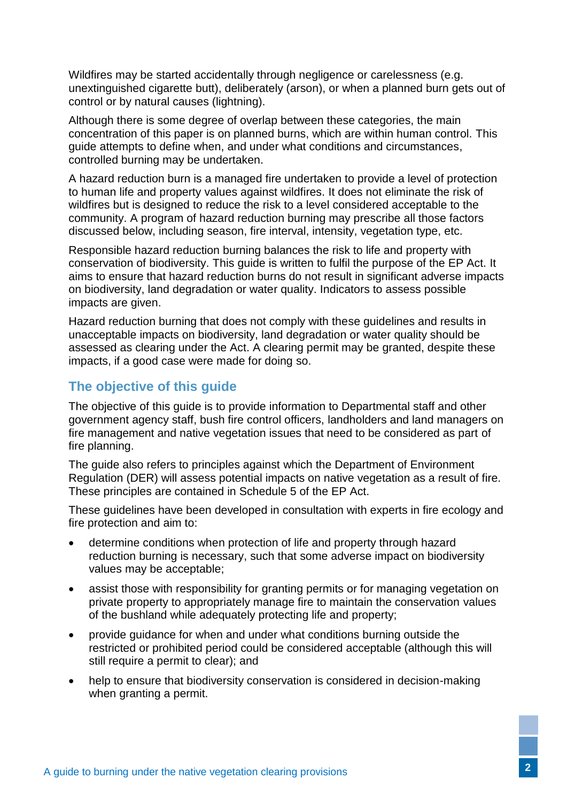Wildfires may be started accidentally through negligence or carelessness (e.g. unextinguished cigarette butt), deliberately (arson), or when a planned burn gets out of control or by natural causes (lightning).

Although there is some degree of overlap between these categories, the main concentration of this paper is on planned burns, which are within human control. This guide attempts to define when, and under what conditions and circumstances, controlled burning may be undertaken.

A hazard reduction burn is a managed fire undertaken to provide a level of protection to human life and property values against wildfires. It does not eliminate the risk of wildfires but is designed to reduce the risk to a level considered acceptable to the community. A program of hazard reduction burning may prescribe all those factors discussed below, including season, fire interval, intensity, vegetation type, etc.

Responsible hazard reduction burning balances the risk to life and property with conservation of biodiversity. This guide is written to fulfil the purpose of the EP Act. It aims to ensure that hazard reduction burns do not result in significant adverse impacts on biodiversity, land degradation or water quality. Indicators to assess possible impacts are given.

Hazard reduction burning that does not comply with these guidelines and results in unacceptable impacts on biodiversity, land degradation or water quality should be assessed as clearing under the Act. A clearing permit may be granted, despite these impacts, if a good case were made for doing so.

## <span id="page-4-0"></span>**The objective of this guide**

The objective of this guide is to provide information to Departmental staff and other government agency staff, bush fire control officers, landholders and land managers on fire management and native vegetation issues that need to be considered as part of fire planning.

The guide also refers to principles against which the Department of Environment Regulation (DER) will assess potential impacts on native vegetation as a result of fire. These principles are contained in Schedule 5 of the EP Act.

These guidelines have been developed in consultation with experts in fire ecology and fire protection and aim to:

- determine conditions when protection of life and property through hazard reduction burning is necessary, such that some adverse impact on biodiversity values may be acceptable;
- assist those with responsibility for granting permits or for managing vegetation on private property to appropriately manage fire to maintain the conservation values of the bushland while adequately protecting life and property;
- provide guidance for when and under what conditions burning outside the restricted or prohibited period could be considered acceptable (although this will still require a permit to clear); and
- help to ensure that biodiversity conservation is considered in decision-making when granting a permit.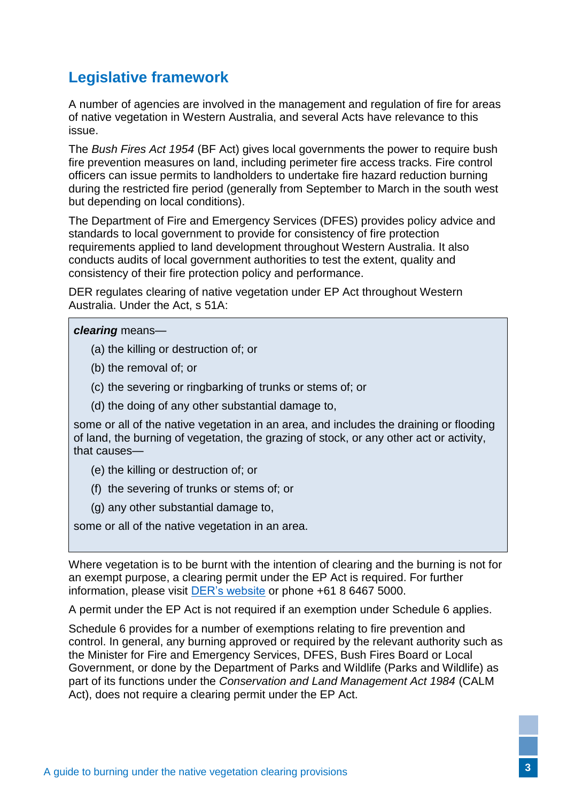# <span id="page-5-0"></span>**Legislative framework**

A number of agencies are involved in the management and regulation of fire for areas of native vegetation in Western Australia, and several Acts have relevance to this issue.

The *Bush Fires Act 1954* (BF Act) gives local governments the power to require bush fire prevention measures on land, including perimeter fire access tracks. Fire control officers can issue permits to landholders to undertake fire hazard reduction burning during the restricted fire period (generally from September to March in the south west but depending on local conditions).

The Department of Fire and Emergency Services (DFES) provides policy advice and standards to local government to provide for consistency of fire protection requirements applied to land development throughout Western Australia. It also conducts audits of local government authorities to test the extent, quality and consistency of their fire protection policy and performance.

DER regulates clearing of native vegetation under EP Act throughout Western Australia. Under the Act, s 51A:

#### *clearing* means—

- (a) the killing or destruction of; or
- (b) the removal of; or
- (c) the severing or ringbarking of trunks or stems of; or
- (d) the doing of any other substantial damage to,

some or all of the native vegetation in an area, and includes the draining or flooding of land, the burning of vegetation, the grazing of stock, or any other act or activity, that causes—

- (e) the killing or destruction of; or
- (f) the severing of trunks or stems of; or
- (g) any other substantial damage to,

some or all of the native vegetation in an area.

Where vegetation is to be burnt with the intention of clearing and the burning is not for an exempt purpose, a clearing permit under the EP Act is required. For further information, please visit [DER's website](http://www.der.wa.gov.au/) or phone +61 8 6467 5000.

A permit under the EP Act is not required if an exemption under Schedule 6 applies.

Schedule 6 provides for a number of exemptions relating to fire prevention and control. In general, any burning approved or required by the relevant authority such as the Minister for Fire and Emergency Services, DFES, Bush Fires Board or Local Government, or done by the Department of Parks and Wildlife (Parks and Wildlife) as part of its functions under the *Conservation and Land Management Act 1984* (CALM Act), does not require a clearing permit under the EP Act.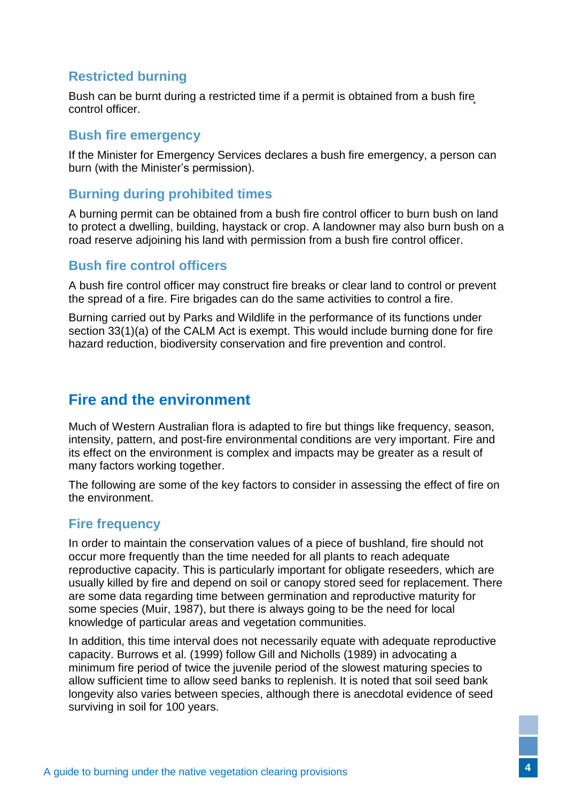### <span id="page-6-0"></span>**Restricted burning**

Bush can be burnt during a restricted time if a permit is obtained from a bush fire control officer.

#### <span id="page-6-1"></span>**Bush fire emergency**

If the Minister for Emergency Services declares a bush fire emergency, a person can burn (with the Minister's permission).

#### <span id="page-6-2"></span>**Burning during prohibited times**

A burning permit can be obtained from a bush fire control officer to burn bush on land to protect a dwelling, building, haystack or crop. A landowner may also burn bush on a road reserve adjoining his land with permission from a bush fire control officer.

#### <span id="page-6-3"></span>**Bush fire control officers**

A bush fire control officer may construct fire breaks or clear land to control or prevent the spread of a fire. Fire brigades can do the same activities to control a fire.

Burning carried out by Parks and Wildlife in the performance of its functions under section 33(1)(a) of the CALM Act is exempt. This would include burning done for fire hazard reduction, biodiversity conservation and fire prevention and control.

# <span id="page-6-4"></span>**Fire and the environment**

Much of Western Australian flora is adapted to fire but things like frequency, season, intensity, pattern, and post-fire environmental conditions are very important. Fire and its effect on the environment is complex and impacts may be greater as a result of many factors working together.

The following are some of the key factors to consider in assessing the effect of fire on the environment.

### <span id="page-6-5"></span>**Fire frequency**

In order to maintain the conservation values of a piece of bushland, fire should not occur more frequently than the time needed for all plants to reach adequate reproductive capacity. This is particularly important for obligate reseeders, which are usually killed by fire and depend on soil or canopy stored seed for replacement. There are some data regarding time between germination and reproductive maturity for some species (Muir, 1987), but there is always going to be the need for local knowledge of particular areas and vegetation communities.

In addition, this time interval does not necessarily equate with adequate reproductive capacity. Burrows et al. (1999) follow Gill and Nicholls (1989) in advocating a minimum fire period of twice the juvenile period of the slowest maturing species to allow sufficient time to allow seed banks to replenish. It is noted that soil seed bank longevity also varies between species, although there is anecdotal evidence of seed surviving in soil for 100 years.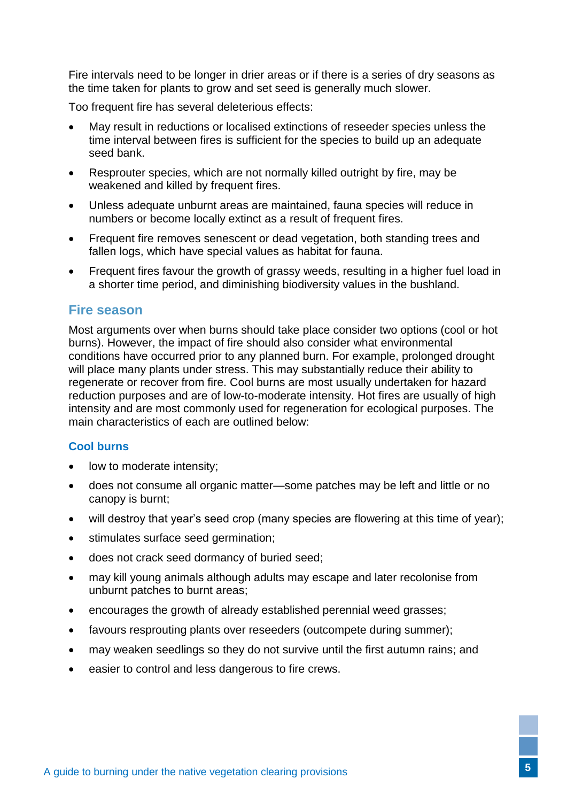Fire intervals need to be longer in drier areas or if there is a series of dry seasons as the time taken for plants to grow and set seed is generally much slower.

Too frequent fire has several deleterious effects:

- May result in reductions or localised extinctions of reseeder species unless the time interval between fires is sufficient for the species to build up an adequate seed bank.
- Resprouter species, which are not normally killed outright by fire, may be weakened and killed by frequent fires.
- Unless adequate unburnt areas are maintained, fauna species will reduce in numbers or become locally extinct as a result of frequent fires.
- Frequent fire removes senescent or dead vegetation, both standing trees and fallen logs, which have special values as habitat for fauna.
- Frequent fires favour the growth of grassy weeds, resulting in a higher fuel load in a shorter time period, and diminishing biodiversity values in the bushland.

#### <span id="page-7-0"></span>**Fire season**

Most arguments over when burns should take place consider two options (cool or hot burns). However, the impact of fire should also consider what environmental conditions have occurred prior to any planned burn. For example, prolonged drought will place many plants under stress. This may substantially reduce their ability to regenerate or recover from fire. Cool burns are most usually undertaken for hazard reduction purposes and are of low-to-moderate intensity. Hot fires are usually of high intensity and are most commonly used for regeneration for ecological purposes. The main characteristics of each are outlined below:

#### <span id="page-7-1"></span>**Cool burns**

- low to moderate intensity:
- does not consume all organic matter—some patches may be left and little or no canopy is burnt;
- will destroy that year's seed crop (many species are flowering at this time of year);
- stimulates surface seed germination;
- does not crack seed dormancy of buried seed;
- may kill young animals although adults may escape and later recolonise from unburnt patches to burnt areas;
- encourages the growth of already established perennial weed grasses;
- favours resprouting plants over reseeders (outcompete during summer);
- may weaken seedlings so they do not survive until the first autumn rains; and
- easier to control and less dangerous to fire crews.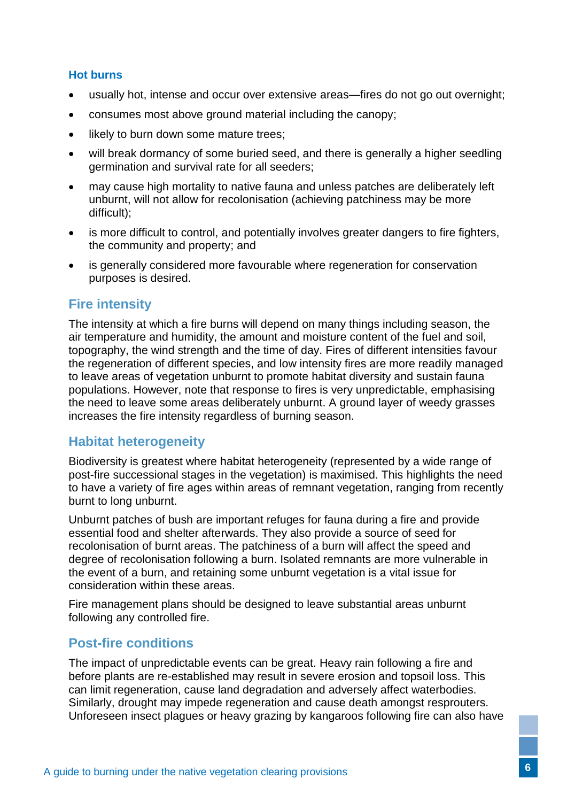#### <span id="page-8-0"></span>**Hot burns**

- usually hot, intense and occur over extensive areas—fires do not go out overnight;
- consumes most above ground material including the canopy;
- likely to burn down some mature trees;
- will break dormancy of some buried seed, and there is generally a higher seedling germination and survival rate for all seeders;
- may cause high mortality to native fauna and unless patches are deliberately left unburnt, will not allow for recolonisation (achieving patchiness may be more difficult);
- is more difficult to control, and potentially involves greater dangers to fire fighters, the community and property; and
- is generally considered more favourable where regeneration for conservation purposes is desired.

#### <span id="page-8-1"></span>**Fire intensity**

The intensity at which a fire burns will depend on many things including season, the air temperature and humidity, the amount and moisture content of the fuel and soil, topography, the wind strength and the time of day. Fires of different intensities favour the regeneration of different species, and low intensity fires are more readily managed to leave areas of vegetation unburnt to promote habitat diversity and sustain fauna populations. However, note that response to fires is very unpredictable, emphasising the need to leave some areas deliberately unburnt. A ground layer of weedy grasses increases the fire intensity regardless of burning season.

### <span id="page-8-2"></span>**Habitat heterogeneity**

Biodiversity is greatest where habitat heterogeneity (represented by a wide range of post-fire successional stages in the vegetation) is maximised. This highlights the need to have a variety of fire ages within areas of remnant vegetation, ranging from recently burnt to long unburnt.

Unburnt patches of bush are important refuges for fauna during a fire and provide essential food and shelter afterwards. They also provide a source of seed for recolonisation of burnt areas. The patchiness of a burn will affect the speed and degree of recolonisation following a burn. Isolated remnants are more vulnerable in the event of a burn, and retaining some unburnt vegetation is a vital issue for consideration within these areas.

Fire management plans should be designed to leave substantial areas unburnt following any controlled fire.

#### <span id="page-8-3"></span>**Post-fire conditions**

The impact of unpredictable events can be great. Heavy rain following a fire and before plants are re-established may result in severe erosion and topsoil loss. This can limit regeneration, cause land degradation and adversely affect waterbodies. Similarly, drought may impede regeneration and cause death amongst resprouters. Unforeseen insect plagues or heavy grazing by kangaroos following fire can also have